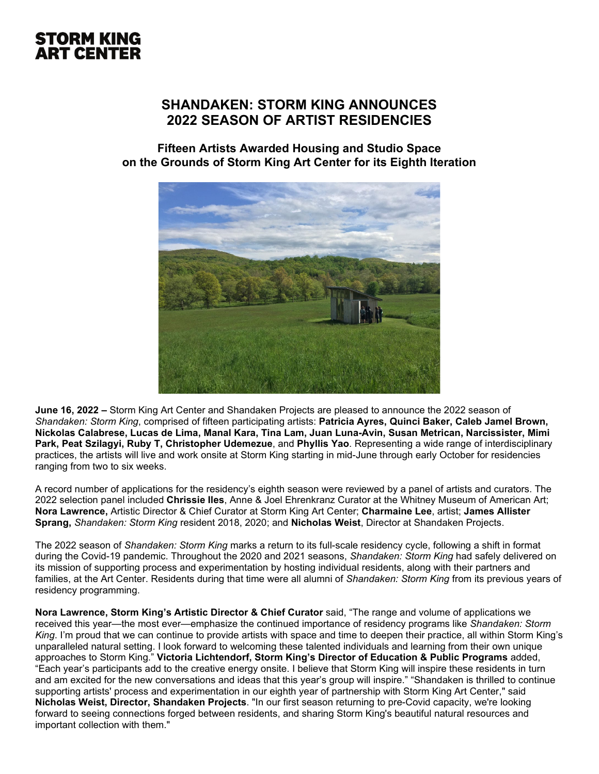### **SHANDAKEN: STORM KING ANNOUNCES 2022 SEASON OF ARTIST RESIDENCIES**

### **Fifteen Artists Awarded Housing and Studio Space on the Grounds of Storm King Art Center for its Eighth Iteration**



**June 16, 2022 –** Storm King Art Center and Shandaken Projects are pleased to announce the 2022 season of *Shandaken: Storm King*, comprised of fifteen participating artists: **Patricia Ayres, Quinci Baker, Caleb Jamel Brown, Nickolas Calabrese, Lucas de Lima, Manal Kara, Tina Lam, Juan Luna-Avin, Susan Metrican, Narcissister, Mimi Park, Peat Szilagyi, Ruby T, Christopher Udemezue**, and **Phyllis Yao**. Representing a wide range of interdisciplinary practices, the artists will live and work onsite at Storm King starting in mid-June through early October for residencies ranging from two to six weeks.

A record number of applications for the residency's eighth season were reviewed by a panel of artists and curators. The 2022 selection panel included **Chrissie Iles**, Anne & Joel Ehrenkranz Curator at the Whitney Museum of American Art; **Nora Lawrence,** Artistic Director & Chief Curator at Storm King Art Center; **Charmaine Lee**, artist; **James Allister Sprang,** *Shandaken: Storm King* resident 2018, 2020; and **Nicholas Weist**, Director at Shandaken Projects.

The 2022 season of *Shandaken: Storm King* marks a return to its full-scale residency cycle, following a shift in format during the Covid-19 pandemic. Throughout the 2020 and 2021 seasons, *Shandaken: Storm King* had safely delivered on its mission of supporting process and experimentation by hosting individual residents, along with their partners and families, at the Art Center. Residents during that time were all alumni of *Shandaken: Storm King* from its previous years of residency programming.

**Nora Lawrence, Storm King's Artistic Director & Chief Curator** said, "The range and volume of applications we received this year—the most ever—emphasize the continued importance of residency programs like *Shandaken: Storm King*. I'm proud that we can continue to provide artists with space and time to deepen their practice, all within Storm King's unparalleled natural setting. I look forward to welcoming these talented individuals and learning from their own unique approaches to Storm King." **Victoria Lichtendorf, Storm King's Director of Education & Public Programs** added, "Each year's participants add to the creative energy onsite. I believe that Storm King will inspire these residents in turn and am excited for the new conversations and ideas that this year's group will inspire." "Shandaken is thrilled to continue supporting artists' process and experimentation in our eighth year of partnership with Storm King Art Center," said **Nicholas Weist, Director, Shandaken Projects**. "In our first season returning to pre-Covid capacity, we're looking forward to seeing connections forged between residents, and sharing Storm King's beautiful natural resources and important collection with them."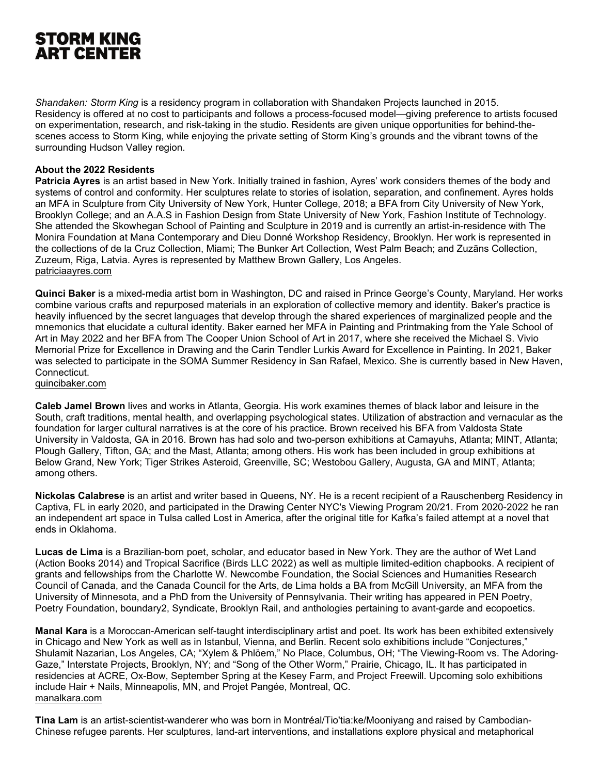*Shandaken: Storm King* is a residency program in collaboration with Shandaken Projects launched in 2015. Residency is offered at no cost to participants and follows a process-focused model—giving preference to artists focused on experimentation, research, and risk-taking in the studio. Residents are given unique opportunities for behind-thescenes access to Storm King, while enjoying the private setting of Storm King's grounds and the vibrant towns of the surrounding Hudson Valley region.

#### **About the 2022 Residents**

**Patricia Ayres** is an artist based in New York. Initially trained in fashion, Ayres' work considers themes of the body and systems of control and conformity. Her sculptures relate to stories of isolation, separation, and confinement. Ayres holds an MFA in Sculpture from City University of New York, Hunter College, 2018; a BFA from City University of New York, Brooklyn College; and an A.A.S in Fashion Design from State University of New York, Fashion Institute of Technology. She attended the Skowhegan School of Painting and Sculpture in 2019 and is currently an artist-in-residence with The Monira Foundation at Mana Contemporary and Dieu Donné Workshop Residency, Brooklyn. Her work is represented in the collections of de la Cruz Collection, Miami; The Bunker Art Collection, West Palm Beach; and Zuzāns Collection, Zuzeum, Riga, Latvia. Ayres is represented by Matthew Brown Gallery, Los Angeles. [patriciaayres.com](http://patriciaayres.com/)

**Quinci Baker** is a mixed-media artist born in Washington, DC and raised in Prince George's County, Maryland. Her works combine various crafts and repurposed materials in an exploration of collective memory and identity. Baker's practice is heavily influenced by the secret languages that develop through the shared experiences of marginalized people and the mnemonics that elucidate a cultural identity. Baker earned her MFA in Painting and Printmaking from the Yale School of Art in May 2022 and her BFA from The Cooper Union School of Art in 2017, where she received the Michael S. Vivio Memorial Prize for Excellence in Drawing and the Carin Tendler Lurkis Award for Excellence in Painting. In 2021, Baker was selected to participate in the SOMA Summer Residency in San Rafael, Mexico. She is currently based in New Haven, Connecticut.

[quincibaker.com](http://quincibaker.com/)

**Caleb Jamel Brown** lives and works in Atlanta, Georgia. His work examines themes of black labor and leisure in the South, craft traditions, mental health, and overlapping psychological states. Utilization of abstraction and vernacular as the foundation for larger cultural narratives is at the core of his practice. Brown received his BFA from Valdosta State University in Valdosta, GA in 2016. Brown has had solo and two-person exhibitions at Camayuhs, Atlanta; MINT, Atlanta; Plough Gallery, Tifton, GA; and the Mast, Atlanta; among others. His work has been included in group exhibitions at Below Grand, New York; Tiger Strikes Asteroid, Greenville, SC; Westobou Gallery, Augusta, GA and MINT, Atlanta; among others.

**Nickolas Calabrese** is an artist and writer based in Queens, NY. He is a recent recipient of a Rauschenberg Residency in Captiva, FL in early 2020, and participated in the Drawing Center NYC's Viewing Program 20/21. From 2020-2022 he ran an independent art space in Tulsa called Lost in America, after the original title for Kafka's failed attempt at a novel that ends in Oklahoma.

**Lucas de Lima** is a Brazilian-born poet, scholar, and educator based in New York. They are the author of Wet Land (Action Books 2014) and Tropical Sacrifice (Birds LLC 2022) as well as multiple limited-edition chapbooks. A recipient of grants and fellowships from the Charlotte W. Newcombe Foundation, the Social Sciences and Humanities Research Council of Canada, and the Canada Council for the Arts, de Lima holds a BA from McGill University, an MFA from the University of Minnesota, and a PhD from the University of Pennsylvania. Their writing has appeared in PEN Poetry, Poetry Foundation, boundary2, Syndicate, Brooklyn Rail, and anthologies pertaining to avant-garde and ecopoetics.

**Manal Kara** is a Moroccan-American self-taught interdisciplinary artist and poet. Its work has been exhibited extensively in Chicago and New York as well as in Istanbul, Vienna, and Berlin. Recent solo exhibitions include "Conjectures," Shulamit Nazarian, Los Angeles, CA; "Xylem & Phlöem," No Place, Columbus, OH; "The Viewing-Room vs. The Adoring-Gaze," Interstate Projects, Brooklyn, NY; and "Song of the Other Worm," Prairie, Chicago, IL. It has participated in residencies at ACRE, Ox-Bow, September Spring at the Kesey Farm, and Project Freewill. Upcoming solo exhibitions include Hair + Nails, Minneapolis, MN, and Projet Pangée, Montreal, QC. [manalkara.com](http://www.manalkara.com/)

**Tina Lam** is an artist-scientist-wanderer who was born in Montréal/Tio'tia:ke/Mooniyang and raised by Cambodian-Chinese refugee parents. Her sculptures, land-art interventions, and installations explore physical and metaphorical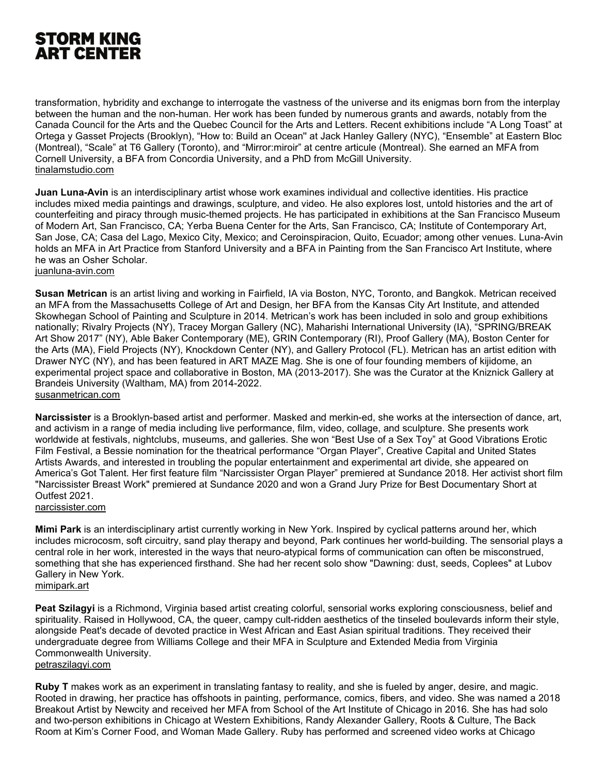transformation, hybridity and exchange to interrogate the vastness of the universe and its enigmas born from the interplay between the human and the non-human. Her work has been funded by numerous grants and awards, notably from the Canada Council for the Arts and the Quebec Council for the Arts and Letters. Recent exhibitions include "A Long Toast" at Ortega y Gasset Projects (Brooklyn), "How to: Build an Ocean'' at Jack Hanley Gallery (NYC), "Ensemble" at Eastern Bloc (Montreal), "Scale" at T6 Gallery (Toronto), and "Mirror:miroir" at centre articule (Montreal). She earned an MFA from Cornell University, a BFA from Concordia University, and a PhD from McGill University. [tinalamstudio.com](http://www.tinalamstudio.com/)

**Juan Luna-Avin** is an interdisciplinary artist whose work examines individual and collective identities. His practice includes mixed media paintings and drawings, sculpture, and video. He also explores lost, untold histories and the art of counterfeiting and piracy through music-themed projects. He has participated in exhibitions at the San Francisco Museum of Modern Art, San Francisco, CA; Yerba Buena Center for the Arts, San Francisco, CA; Institute of Contemporary Art, San Jose, CA; Casa del Lago, Mexico City, Mexico; and Ceroinspiracion, Quito, Ecuador; among other venues. Luna-Avin holds an MFA in Art Practice from Stanford University and a BFA in Painting from the San Francisco Art Institute, where he was an Osher Scholar. [juanluna-avin.com](https://www.juanluna-avin.com/)

**Susan Metrican** is an artist living and working in Fairfield, IA via Boston, NYC, Toronto, and Bangkok. Metrican received an MFA from the Massachusetts College of Art and Design, her BFA from the Kansas City Art Institute, and attended Skowhegan School of Painting and Sculpture in 2014. Metrican's work has been included in solo and group exhibitions nationally; Rivalry Projects (NY), Tracey Morgan Gallery (NC), Maharishi International University (IA), "SPRING/BREAK Art Show 2017" (NY), Able Baker Contemporary (ME), GRIN Contemporary (RI), Proof Gallery (MA), Boston Center for the Arts (MA), Field Projects (NY), Knockdown Center (NY), and Gallery Protocol (FL). Metrican has an artist edition with Drawer NYC (NY), and has been featured in ART MAZE Mag. She is one of four founding members of kijidome, an experimental project space and collaborative in Boston, MA (2013-2017). She was the Curator at the Kniznick Gallery at Brandeis University (Waltham, MA) from 2014-2022. [susanmetrican.com](http://www.susanmetrican.com/)

**Narcissister** is a Brooklyn-based artist and performer. Masked and merkin-ed, she works at the intersection of dance, art, and activism in a range of media including live performance, film, video, collage, and sculpture. She presents work worldwide at festivals, nightclubs, museums, and galleries. She won "Best Use of a Sex Toy" at Good Vibrations Erotic Film Festival, a Bessie nomination for the theatrical performance "Organ Player", Creative Capital and United States Artists Awards, and interested in troubling the popular entertainment and experimental art divide, she appeared on America's Got Talent. Her first feature film "Narcissister Organ Player" premiered at Sundance 2018. Her activist short film "Narcissister Breast Work" premiered at Sundance 2020 and won a Grand Jury Prize for Best Documentary Short at Outfest 2021.

[narcissister.com](http://www.narcissister.com/)

**Mimi Park** is an interdisciplinary artist currently working in New York. Inspired by cyclical patterns around her, which includes microcosm, soft circuitry, sand play therapy and beyond, Park continues her world-building. The sensorial plays a central role in her work, interested in the ways that neuro-atypical forms of communication can often be misconstrued, something that she has experienced firsthand. She had her recent solo show "Dawning: dust, seeds, Coplees" at Lubov Gallery in New York.

[mimipark.art](http://www.mimipark.art/)

**Peat Szilagyi** is a Richmond, Virginia based artist creating colorful, sensorial works exploring consciousness, belief and spirituality. Raised in Hollywood, CA, the queer, campy cult-ridden aesthetics of the tinseled boulevards inform their style, alongside Peat's decade of devoted practice in West African and East Asian spiritual traditions. They received their undergraduate degree from Williams College and their MFA in Sculpture and Extended Media from Virginia Commonwealth University. [petraszilagyi.com](http://www.petraszilagyi.com/)

**Ruby T** makes work as an experiment in translating fantasy to reality, and she is fueled by anger, desire, and magic. Rooted in drawing, her practice has offshoots in painting, performance, comics, fibers, and video. She was named a 2018 Breakout Artist by Newcity and received her MFA from School of the Art Institute of Chicago in 2016. She has had solo and two-person exhibitions in Chicago at Western Exhibitions, Randy Alexander Gallery, Roots & Culture, The Back Room at Kim's Corner Food, and Woman Made Gallery. Ruby has performed and screened video works at Chicago